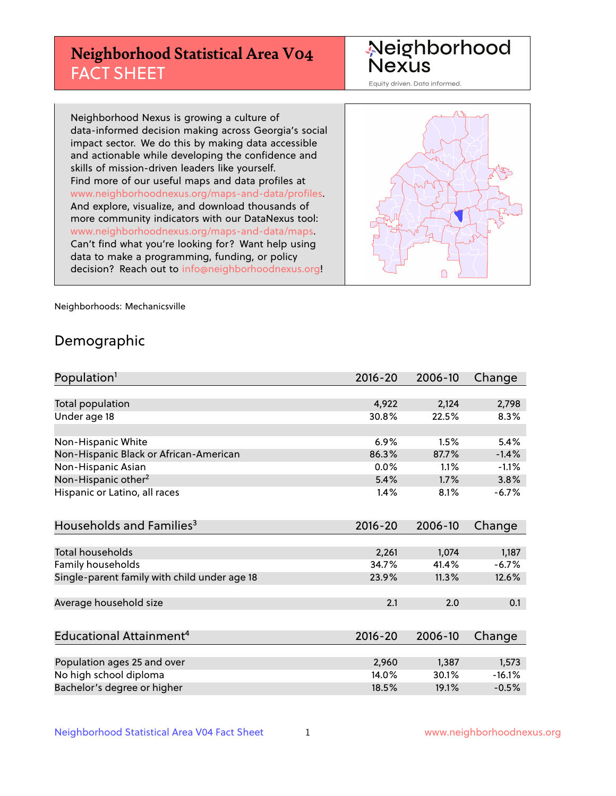## **Neighborhood Statistical Area V04** FACT SHEET

Neighborhood Nexus

Equity driven. Data informed.

Neighborhood Nexus is growing a culture of data-informed decision making across Georgia's social impact sector. We do this by making data accessible and actionable while developing the confidence and skills of mission-driven leaders like yourself. Find more of our useful maps and data profiles at www.neighborhoodnexus.org/maps-and-data/profiles. And explore, visualize, and download thousands of more community indicators with our DataNexus tool: www.neighborhoodnexus.org/maps-and-data/maps. Can't find what you're looking for? Want help using data to make a programming, funding, or policy decision? Reach out to [info@neighborhoodnexus.org!](mailto:info@neighborhoodnexus.org)



Neighborhoods: Mechanicsville

#### Demographic

| Population <sup>1</sup>                      | $2016 - 20$ | 2006-10 | Change   |
|----------------------------------------------|-------------|---------|----------|
|                                              |             |         |          |
| <b>Total population</b>                      | 4,922       | 2,124   | 2,798    |
| Under age 18                                 | 30.8%       | 22.5%   | 8.3%     |
|                                              |             |         |          |
| Non-Hispanic White                           | 6.9%        | 1.5%    | 5.4%     |
| Non-Hispanic Black or African-American       | 86.3%       | 87.7%   | $-1.4%$  |
| Non-Hispanic Asian                           | 0.0%        | 1.1%    | $-1.1%$  |
| Non-Hispanic other <sup>2</sup>              | 5.4%        | 1.7%    | 3.8%     |
| Hispanic or Latino, all races                | 1.4%        | 8.1%    | $-6.7%$  |
|                                              |             |         |          |
| Households and Families <sup>3</sup>         | $2016 - 20$ | 2006-10 | Change   |
|                                              |             |         |          |
| <b>Total households</b>                      | 2,261       | 1,074   | 1,187    |
| Family households                            | 34.7%       | 41.4%   | $-6.7%$  |
| Single-parent family with child under age 18 | 23.9%       | 11.3%   | 12.6%    |
|                                              |             |         |          |
| Average household size                       | 2.1         | 2.0     | 0.1      |
|                                              |             |         |          |
| Educational Attainment <sup>4</sup>          | 2016-20     | 2006-10 | Change   |
|                                              |             |         |          |
| Population ages 25 and over                  | 2,960       | 1,387   | 1,573    |
| No high school diploma                       | 14.0%       | 30.1%   | $-16.1%$ |
| Bachelor's degree or higher                  | 18.5%       | 19.1%   | $-0.5%$  |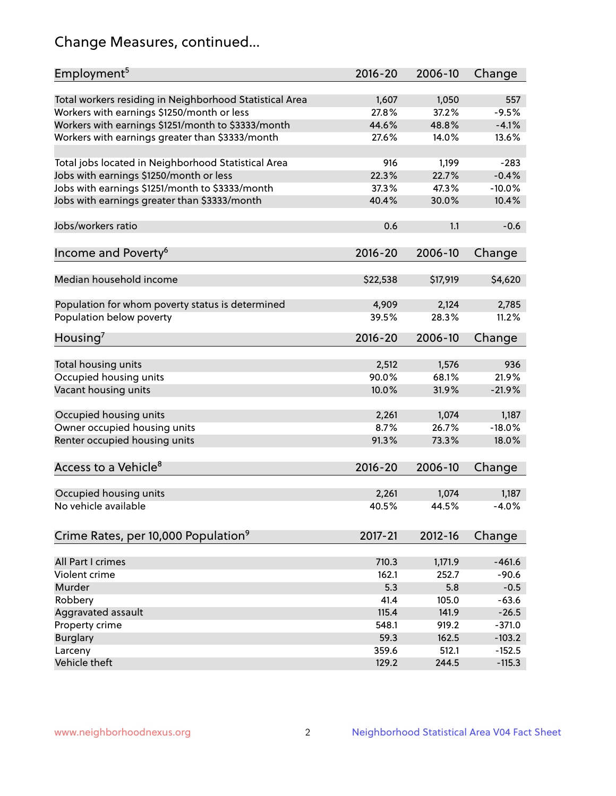## Change Measures, continued...

| Employment <sup>5</sup>                                                                               | $2016 - 20$    | 2006-10        | Change         |
|-------------------------------------------------------------------------------------------------------|----------------|----------------|----------------|
|                                                                                                       |                |                |                |
| Total workers residing in Neighborhood Statistical Area                                               | 1,607<br>27.8% | 1,050<br>37.2% | 557<br>$-9.5%$ |
| Workers with earnings \$1250/month or less                                                            | 44.6%          | 48.8%          | $-4.1%$        |
| Workers with earnings \$1251/month to \$3333/month<br>Workers with earnings greater than \$3333/month | 27.6%          | 14.0%          | 13.6%          |
|                                                                                                       |                |                |                |
| Total jobs located in Neighborhood Statistical Area                                                   | 916            | 1,199          | $-283$         |
| Jobs with earnings \$1250/month or less                                                               | 22.3%          | 22.7%          | $-0.4%$        |
| Jobs with earnings \$1251/month to \$3333/month                                                       | 37.3%          | 47.3%          | $-10.0%$       |
| Jobs with earnings greater than \$3333/month                                                          | 40.4%          | 30.0%          | 10.4%          |
|                                                                                                       |                |                |                |
| Jobs/workers ratio                                                                                    | 0.6            | 1.1            | $-0.6$         |
|                                                                                                       |                |                |                |
| Income and Poverty <sup>6</sup>                                                                       | 2016-20        | 2006-10        | Change         |
|                                                                                                       |                |                |                |
| Median household income                                                                               | \$22,538       | \$17,919       | \$4,620        |
|                                                                                                       |                |                |                |
| Population for whom poverty status is determined                                                      | 4,909          | 2,124          | 2,785          |
| Population below poverty                                                                              | 39.5%          | 28.3%          | 11.2%          |
|                                                                                                       |                |                |                |
| Housing <sup>7</sup>                                                                                  | $2016 - 20$    | 2006-10        | Change         |
|                                                                                                       |                |                |                |
| Total housing units                                                                                   | 2,512          | 1,576          | 936            |
| Occupied housing units                                                                                | 90.0%          | 68.1%          | 21.9%          |
| Vacant housing units                                                                                  | 10.0%          | 31.9%          | $-21.9%$       |
|                                                                                                       |                |                |                |
| Occupied housing units                                                                                | 2,261          | 1,074          | 1,187          |
| Owner occupied housing units                                                                          | 8.7%           | 26.7%          | $-18.0%$       |
| Renter occupied housing units                                                                         | 91.3%          | 73.3%          | 18.0%          |
|                                                                                                       |                |                |                |
| Access to a Vehicle <sup>8</sup>                                                                      | $2016 - 20$    | 2006-10        | Change         |
|                                                                                                       |                |                |                |
| Occupied housing units                                                                                | 2,261          | 1,074          | 1,187          |
| No vehicle available                                                                                  | 40.5%          | 44.5%          | $-4.0%$        |
|                                                                                                       |                |                |                |
| Crime Rates, per 10,000 Population <sup>9</sup>                                                       | 2017-21        | 2012-16        | Change         |
|                                                                                                       |                |                |                |
| All Part I crimes                                                                                     | 710.3          | 1,171.9        | $-461.6$       |
| Violent crime                                                                                         | 162.1          | 252.7          | $-90.6$        |
| Murder                                                                                                | 5.3            | 5.8            | $-0.5$         |
| Robbery                                                                                               | 41.4           | 105.0          | $-63.6$        |
| Aggravated assault                                                                                    | 115.4          | 141.9          | $-26.5$        |
| Property crime                                                                                        | 548.1          | 919.2          | $-371.0$       |
| <b>Burglary</b>                                                                                       | 59.3           | 162.5          | $-103.2$       |
| Larceny                                                                                               | 359.6          | 512.1          | $-152.5$       |
| Vehicle theft                                                                                         | 129.2          | 244.5          | $-115.3$       |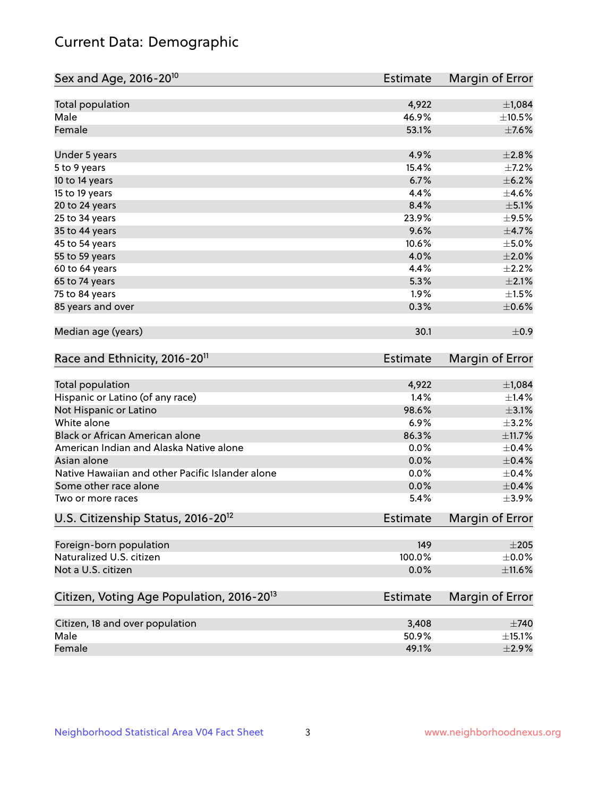## Current Data: Demographic

| Sex and Age, 2016-20 <sup>10</sup>                    | <b>Estimate</b> | Margin of Error |
|-------------------------------------------------------|-----------------|-----------------|
| Total population                                      | 4,922           | $\pm$ 1,084     |
| Male                                                  | 46.9%           | $\pm 10.5\%$    |
| Female                                                | 53.1%           | $\pm$ 7.6%      |
| Under 5 years                                         | 4.9%            | ±2.8%           |
| 5 to 9 years                                          | 15.4%           | $\pm$ 7.2%      |
| 10 to 14 years                                        | 6.7%            | $\pm$ 6.2%      |
| 15 to 19 years                                        | 4.4%            | $\pm$ 4.6%      |
| 20 to 24 years                                        | 8.4%            | $\pm$ 5.1%      |
| 25 to 34 years                                        | 23.9%           | $\pm$ 9.5%      |
| 35 to 44 years                                        | 9.6%            | $\pm$ 4.7%      |
| 45 to 54 years                                        | 10.6%           | $\pm$ 5.0%      |
| 55 to 59 years                                        | 4.0%            | $\pm 2.0\%$     |
| 60 to 64 years                                        | 4.4%            | $\pm 2.2\%$     |
| 65 to 74 years                                        | 5.3%            | $\pm 2.1\%$     |
| 75 to 84 years                                        | 1.9%            | $\pm 1.5\%$     |
| 85 years and over                                     | 0.3%            | $\pm$ 0.6%      |
| Median age (years)                                    | 30.1            | ±0.9            |
| Race and Ethnicity, 2016-20 <sup>11</sup>             | <b>Estimate</b> | Margin of Error |
| <b>Total population</b>                               | 4,922           | ±1,084          |
| Hispanic or Latino (of any race)                      | 1.4%            | ±1.4%           |
| Not Hispanic or Latino                                | 98.6%           | $\pm$ 3.1%      |
| White alone                                           | 6.9%            | $\pm$ 3.2%      |
| Black or African American alone                       | 86.3%           | $\pm$ 11.7%     |
| American Indian and Alaska Native alone               | 0.0%            | $\pm$ 0.4%      |
| Asian alone                                           | 0.0%            | $\pm$ 0.4%      |
| Native Hawaiian and other Pacific Islander alone      | 0.0%            | $\pm$ 0.4%      |
| Some other race alone                                 | 0.0%            | $\pm$ 0.4%      |
| Two or more races                                     | 5.4%            | $\pm$ 3.9%      |
| U.S. Citizenship Status, 2016-20 <sup>12</sup>        | <b>Estimate</b> | Margin of Error |
| Foreign-born population                               | 149             | $\pm 205$       |
| Naturalized U.S. citizen                              | 100.0%          | $\pm$ 0.0%      |
| Not a U.S. citizen                                    | 0.0%            | ±11.6%          |
| Citizen, Voting Age Population, 2016-20 <sup>13</sup> | <b>Estimate</b> | Margin of Error |
| Citizen, 18 and over population                       | 3,408           | $\pm 740$       |
| Male                                                  | 50.9%           | $\pm$ 15.1%     |
| Female                                                | 49.1%           | $\pm 2.9\%$     |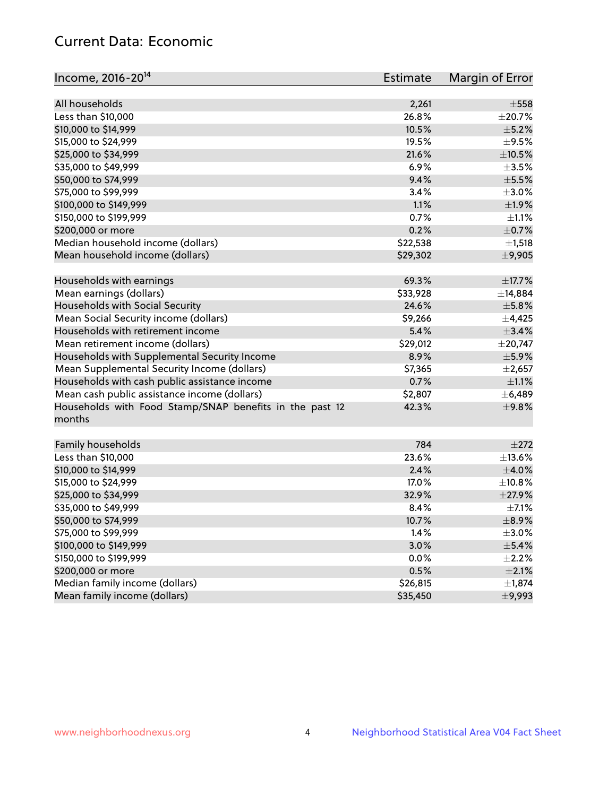### Current Data: Economic

| Income, 2016-20 <sup>14</sup>                                     | <b>Estimate</b> | Margin of Error |
|-------------------------------------------------------------------|-----------------|-----------------|
| All households                                                    | 2,261           | $\pm$ 558       |
| Less than \$10,000                                                | 26.8%           | ±20.7%          |
| \$10,000 to \$14,999                                              | 10.5%           | $\pm$ 5.2%      |
| \$15,000 to \$24,999                                              | 19.5%           | $\pm$ 9.5%      |
| \$25,000 to \$34,999                                              | 21.6%           | $\pm$ 10.5%     |
| \$35,000 to \$49,999                                              | 6.9%            | $\pm 3.5\%$     |
| \$50,000 to \$74,999                                              | 9.4%            | $\pm$ 5.5%      |
| \$75,000 to \$99,999                                              | 3.4%            | $\pm 3.0\%$     |
| \$100,000 to \$149,999                                            | 1.1%            | $\pm 1.9\%$     |
| \$150,000 to \$199,999                                            | 0.7%            | $\pm 1.1\%$     |
| \$200,000 or more                                                 | 0.2%            | $\pm$ 0.7%      |
| Median household income (dollars)                                 | \$22,538        | ±1,518          |
| Mean household income (dollars)                                   | \$29,302        | ±9,905          |
| Households with earnings                                          | 69.3%           | ±17.7%          |
| Mean earnings (dollars)                                           | \$33,928        | ±14,884         |
| Households with Social Security                                   | 24.6%           | $\pm$ 5.8%      |
| Mean Social Security income (dollars)                             | \$9,266         | $\pm$ 4,425     |
| Households with retirement income                                 | 5.4%            | ±3.4%           |
| Mean retirement income (dollars)                                  | \$29,012        | ±20,747         |
| Households with Supplemental Security Income                      | 8.9%            | $\pm$ 5.9%      |
| Mean Supplemental Security Income (dollars)                       | \$7,365         | $\pm 2,657$     |
| Households with cash public assistance income                     | 0.7%            | $\pm 1.1\%$     |
| Mean cash public assistance income (dollars)                      | \$2,807         | ± 6,489         |
| Households with Food Stamp/SNAP benefits in the past 12<br>months | 42.3%           | ±9.8%           |
| Family households                                                 | 784             | ±272            |
| Less than \$10,000                                                | 23.6%           | $\pm$ 13.6%     |
| \$10,000 to \$14,999                                              | 2.4%            | $\pm$ 4.0%      |
| \$15,000 to \$24,999                                              | 17.0%           | ±10.8%          |
| \$25,000 to \$34,999                                              | 32.9%           | $\pm$ 27.9%     |
| \$35,000 to \$49,999                                              | 8.4%            | $\pm$ 7.1%      |
| \$50,000 to \$74,999                                              | 10.7%           | $\pm$ 8.9%      |
| \$75,000 to \$99,999                                              | 1.4%            | $\pm$ 3.0%      |
| \$100,000 to \$149,999                                            | 3.0%            | $\pm$ 5.4%      |
| \$150,000 to \$199,999                                            | 0.0%            | $\pm 2.2\%$     |
| \$200,000 or more                                                 | 0.5%            | $\pm 2.1\%$     |
| Median family income (dollars)                                    | \$26,815        | ±1,874          |
| Mean family income (dollars)                                      | \$35,450        | ±9,993          |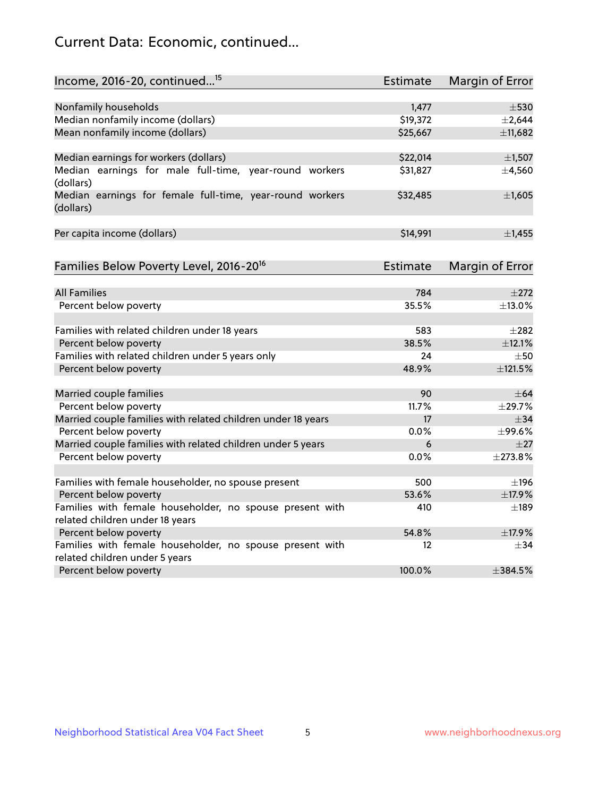## Current Data: Economic, continued...

| Income, 2016-20, continued <sup>15</sup>                                                   | <b>Estimate</b>   | Margin of Error        |
|--------------------------------------------------------------------------------------------|-------------------|------------------------|
|                                                                                            |                   |                        |
| Nonfamily households<br>Median nonfamily income (dollars)                                  | 1,477<br>\$19,372 | $\pm$ 530<br>±2,644    |
| Mean nonfamily income (dollars)                                                            | \$25,667          |                        |
|                                                                                            |                   | ±11,682                |
| Median earnings for workers (dollars)                                                      | \$22,014          | ±1,507                 |
| Median earnings for male full-time, year-round workers<br>(dollars)                        | \$31,827          | ±4,560                 |
| Median earnings for female full-time, year-round workers<br>(dollars)                      | \$32,485          | $\pm$ 1,605            |
| Per capita income (dollars)                                                                | \$14,991          | ±1,455                 |
| Families Below Poverty Level, 2016-20 <sup>16</sup>                                        | <b>Estimate</b>   | <b>Margin of Error</b> |
|                                                                                            |                   |                        |
| <b>All Families</b>                                                                        | 784               | $\pm 272$              |
| Percent below poverty                                                                      | 35.5%             | ±13.0%                 |
| Families with related children under 18 years                                              | 583               | $\pm 282$              |
| Percent below poverty                                                                      | 38.5%             | ±12.1%                 |
| Families with related children under 5 years only                                          | 24                | $+50$                  |
| Percent below poverty                                                                      | 48.9%             | ±121.5%                |
| Married couple families                                                                    | 90                | $\pm 64$               |
| Percent below poverty                                                                      | 11.7%             | $+29.7%$               |
| Married couple families with related children under 18 years                               | 17                | $\pm$ 34               |
| Percent below poverty                                                                      | $0.0\%$           | ±99.6%                 |
| Married couple families with related children under 5 years                                | 6                 | $+27$                  |
| Percent below poverty                                                                      | 0.0%              | $\pm 273.8\%$          |
|                                                                                            |                   |                        |
| Families with female householder, no spouse present                                        | 500               | $\pm$ 196              |
| Percent below poverty                                                                      | 53.6%             | ±17.9%                 |
| Families with female householder, no spouse present with                                   | 410               | $\pm$ 189              |
| related children under 18 years                                                            |                   |                        |
| Percent below poverty                                                                      | 54.8%             | ±17.9%                 |
| Families with female householder, no spouse present with<br>related children under 5 years | 12                | $\pm$ 34               |
| Percent below poverty                                                                      | 100.0%            | ±384.5%                |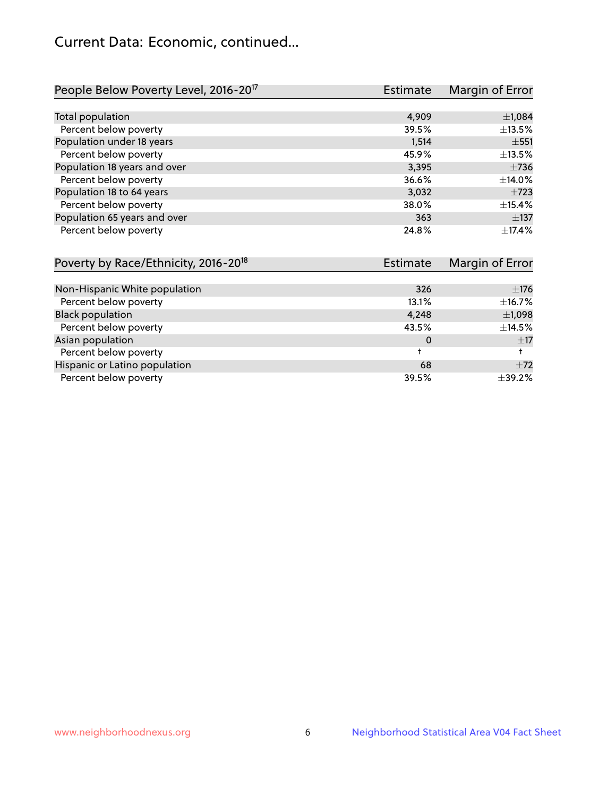## Current Data: Economic, continued...

| People Below Poverty Level, 2016-20 <sup>17</sup> | Estimate        | Margin of Error |
|---------------------------------------------------|-----------------|-----------------|
|                                                   |                 |                 |
| Total population                                  | 4,909           | ±1,084          |
| Percent below poverty                             | 39.5%           | ±13.5%          |
| Population under 18 years                         | 1,514           | $\pm$ 551       |
| Percent below poverty                             | 45.9%           | ±13.5%          |
| Population 18 years and over                      | 3,395           | $\pm 736$       |
| Percent below poverty                             | 36.6%           | ±14.0%          |
| Population 18 to 64 years                         | 3,032           | $\pm 723$       |
| Percent below poverty                             | 38.0%           | ±15.4%          |
| Population 65 years and over                      | 363             | $\pm$ 137       |
| Percent below poverty                             | 24.8%           | ±17.4%          |
| Dovarty by Daco/Ethnicity $2016-20^{18}$          | E <sub>cf</sub> | Margin of Error |

| POVEITY DY RACE/ETHICITY, ZUID-ZUT | Estimate | Margin of Effor |
|------------------------------------|----------|-----------------|
|                                    |          |                 |
| Non-Hispanic White population      | 326      | $\pm$ 176       |
| Percent below poverty              | 13.1%    | $\pm$ 16.7%     |
| <b>Black population</b>            | 4,248    | $\pm$ 1,098     |
| Percent below poverty              | 43.5%    | $\pm$ 14.5%     |
| Asian population                   | 0        | $\pm$ 17        |
| Percent below poverty              |          |                 |
| Hispanic or Latino population      | 68       | $\pm 72$        |
| Percent below poverty              | 39.5%    | ±39.2%          |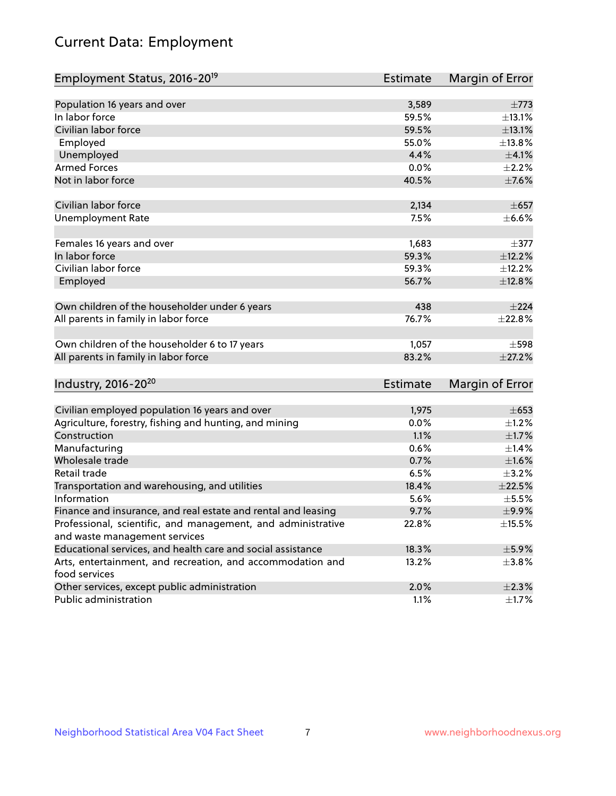# Current Data: Employment

| Employment Status, 2016-20 <sup>19</sup>                      | <b>Estimate</b> | Margin of Error |
|---------------------------------------------------------------|-----------------|-----------------|
|                                                               |                 |                 |
| Population 16 years and over                                  | 3,589           | $\pm 773$       |
| In labor force                                                | 59.5%           | ±13.1%          |
| Civilian labor force                                          | 59.5%           | ±13.1%          |
| Employed                                                      | 55.0%           | ±13.8%          |
| Unemployed                                                    | 4.4%            | $\pm 4.1\%$     |
| <b>Armed Forces</b>                                           | 0.0%            | $\pm 2.2\%$     |
| Not in labor force                                            | 40.5%           | $\pm$ 7.6%      |
| Civilian labor force                                          | 2,134           | $\pm$ 657       |
| <b>Unemployment Rate</b>                                      | 7.5%            | $\pm$ 6.6%      |
| Females 16 years and over                                     | 1,683           | $\pm$ 377       |
| In labor force                                                | 59.3%           | ±12.2%          |
| Civilian labor force                                          | 59.3%           | ±12.2%          |
| Employed                                                      | 56.7%           | ±12.8%          |
|                                                               |                 |                 |
| Own children of the householder under 6 years                 | 438             | $+224$          |
| All parents in family in labor force                          | 76.7%           | ±22.8%          |
|                                                               |                 |                 |
| Own children of the householder 6 to 17 years                 | 1,057           | $\pm$ 598       |
| All parents in family in labor force                          | 83.2%           | $\pm 27.2\%$    |
|                                                               |                 |                 |
| Industry, 2016-20 <sup>20</sup>                               | Estimate        | Margin of Error |
|                                                               |                 |                 |
| Civilian employed population 16 years and over                | 1,975           | $\pm 653$       |
| Agriculture, forestry, fishing and hunting, and mining        | 0.0%            | $\pm 1.2\%$     |
| Construction                                                  | 1.1%            | $\pm1.7\%$      |
| Manufacturing                                                 | 0.6%            | $\pm$ 1.4%      |
| Wholesale trade                                               | 0.7%            | $\pm1.6\%$      |
| Retail trade                                                  | 6.5%            | $\pm$ 3.2%      |
| Transportation and warehousing, and utilities                 | 18.4%           | $\pm 22.5\%$    |
| Information                                                   | 5.6%            | $\pm$ 5.5%      |
| Finance and insurance, and real estate and rental and leasing | 9.7%            | $\pm$ 9.9%      |
| Professional, scientific, and management, and administrative  | 22.8%           | $\pm$ 15.5%     |
| and waste management services                                 |                 |                 |
| Educational services, and health care and social assistance   | 18.3%           | $\pm$ 5.9%      |
| Arts, entertainment, and recreation, and accommodation and    | 13.2%           | $\pm$ 3.8%      |
| food services                                                 |                 |                 |
| Other services, except public administration                  | 2.0%            | $\pm 2.3\%$     |
| Public administration                                         | 1.1%            | $\pm$ 1.7%      |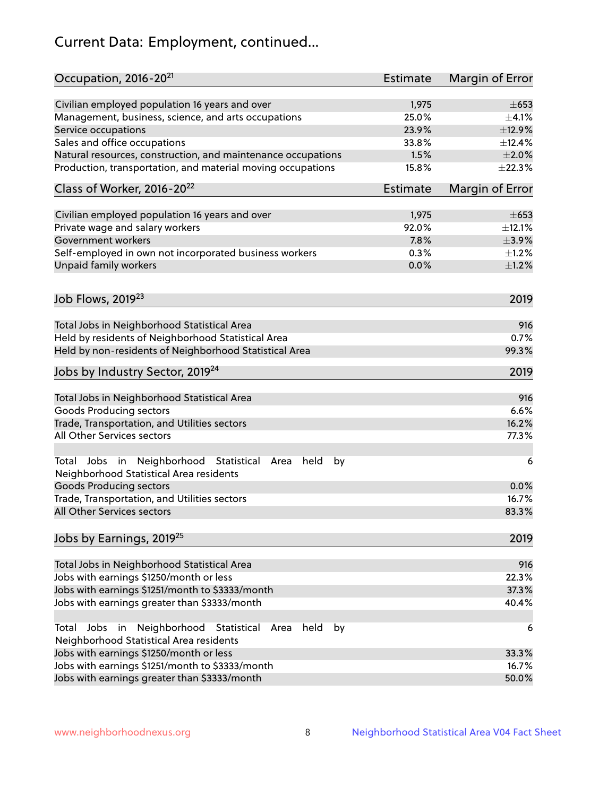# Current Data: Employment, continued...

| Civilian employed population 16 years and over<br>1,975<br>25.0%<br>Management, business, science, and arts occupations<br>23.9%<br>±12.9%<br>Service occupations | $\pm 653$<br>$\pm 4.1\%$<br>$\pm$ 12.4% |
|-------------------------------------------------------------------------------------------------------------------------------------------------------------------|-----------------------------------------|
|                                                                                                                                                                   |                                         |
|                                                                                                                                                                   |                                         |
|                                                                                                                                                                   |                                         |
| Sales and office occupations<br>33.8%                                                                                                                             |                                         |
| 1.5%<br>$\pm 2.0\%$<br>Natural resources, construction, and maintenance occupations                                                                               |                                         |
| Production, transportation, and material moving occupations<br>15.8%<br>±22.3%                                                                                    |                                         |
| Class of Worker, 2016-20 <sup>22</sup><br>Estimate<br>Margin of Error                                                                                             |                                         |
| Civilian employed population 16 years and over<br>1,975                                                                                                           | $\pm 653$                               |
| Private wage and salary workers<br>92.0%<br>±12.1%                                                                                                                |                                         |
| 7.8%<br>Government workers<br>$\pm$ 3.9%                                                                                                                          |                                         |
| Self-employed in own not incorporated business workers<br>0.3%                                                                                                    | $\pm 1.2\%$                             |
| Unpaid family workers<br>0.0%<br>$\pm 1.2\%$                                                                                                                      |                                         |
|                                                                                                                                                                   |                                         |
| Job Flows, 2019 <sup>23</sup>                                                                                                                                     | 2019                                    |
| Total Jobs in Neighborhood Statistical Area                                                                                                                       | 916                                     |
| Held by residents of Neighborhood Statistical Area                                                                                                                | 0.7%                                    |
| Held by non-residents of Neighborhood Statistical Area                                                                                                            | 99.3%                                   |
| Jobs by Industry Sector, 2019 <sup>24</sup>                                                                                                                       | 2019                                    |
| Total Jobs in Neighborhood Statistical Area                                                                                                                       | 916                                     |
| <b>Goods Producing sectors</b>                                                                                                                                    | 6.6%                                    |
| Trade, Transportation, and Utilities sectors                                                                                                                      | 16.2%                                   |
| All Other Services sectors                                                                                                                                        | 77.3%                                   |
| Total Jobs in Neighborhood Statistical<br>held<br>by<br>Area<br>Neighborhood Statistical Area residents                                                           | 6                                       |
| <b>Goods Producing sectors</b>                                                                                                                                    | 0.0%                                    |
| Trade, Transportation, and Utilities sectors                                                                                                                      | 16.7%                                   |
| All Other Services sectors<br>83.3%                                                                                                                               |                                         |
| Jobs by Earnings, 2019 <sup>25</sup>                                                                                                                              | 2019                                    |
| Total Jobs in Neighborhood Statistical Area                                                                                                                       | 916                                     |
| Jobs with earnings \$1250/month or less                                                                                                                           | 22.3%                                   |
| Jobs with earnings \$1251/month to \$3333/month                                                                                                                   | 37.3%                                   |
| Jobs with earnings greater than \$3333/month                                                                                                                      | 40.4%                                   |
| Neighborhood Statistical<br>Jobs<br>in<br>held<br>by<br>Total<br>Area                                                                                             | 6                                       |
| Neighborhood Statistical Area residents                                                                                                                           |                                         |
| Jobs with earnings \$1250/month or less                                                                                                                           | 33.3%                                   |
| Jobs with earnings \$1251/month to \$3333/month                                                                                                                   | 16.7%                                   |
| Jobs with earnings greater than \$3333/month                                                                                                                      | 50.0%                                   |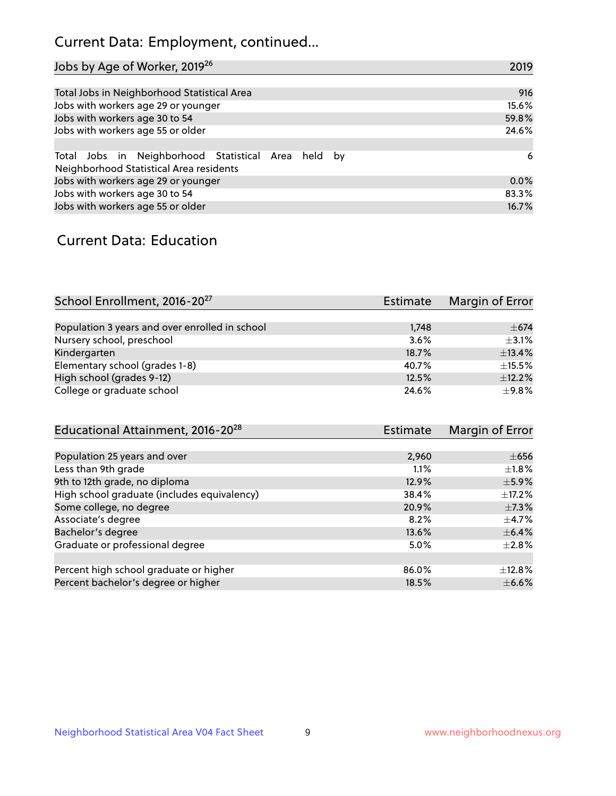## Current Data: Employment, continued...

| Jobs by Age of Worker, 2019 <sup>26</sup>                                                      | 2019  |
|------------------------------------------------------------------------------------------------|-------|
|                                                                                                |       |
| Total Jobs in Neighborhood Statistical Area                                                    | 916   |
| Jobs with workers age 29 or younger                                                            | 15.6% |
| Jobs with workers age 30 to 54                                                                 | 59.8% |
| Jobs with workers age 55 or older                                                              | 24.6% |
|                                                                                                |       |
| Total Jobs in Neighborhood Statistical Area held by<br>Neighborhood Statistical Area residents | 6     |
| Jobs with workers age 29 or younger                                                            | 0.0%  |
| Jobs with workers age 30 to 54                                                                 | 83.3% |
| Jobs with workers age 55 or older                                                              | 16.7% |

### Current Data: Education

| School Enrollment, 2016-20 <sup>27</sup>       | <b>Estimate</b> | Margin of Error |
|------------------------------------------------|-----------------|-----------------|
|                                                |                 |                 |
| Population 3 years and over enrolled in school | 1,748           | $\pm$ 674       |
| Nursery school, preschool                      | 3.6%            | $+3.1%$         |
| Kindergarten                                   | 18.7%           | ±13.4%          |
| Elementary school (grades 1-8)                 | 40.7%           | $\pm$ 15.5%     |
| High school (grades 9-12)                      | 12.5%           | ±12.2%          |
| College or graduate school                     | 24.6%           | $\pm$ 9.8%      |

| Educational Attainment, 2016-20 <sup>28</sup> | <b>Estimate</b> | Margin of Error |
|-----------------------------------------------|-----------------|-----------------|
|                                               |                 |                 |
| Population 25 years and over                  | 2,960           | $\pm$ 656       |
| Less than 9th grade                           | 1.1%            | $\pm 1.8\%$     |
| 9th to 12th grade, no diploma                 | 12.9%           | $\pm$ 5.9%      |
| High school graduate (includes equivalency)   | 38.4%           | $\pm$ 17.2%     |
| Some college, no degree                       | 20.9%           | $\pm$ 7.3%      |
| Associate's degree                            | 8.2%            | $\pm$ 4.7%      |
| Bachelor's degree                             | 13.6%           | $\pm$ 6.4%      |
| Graduate or professional degree               | 5.0%            | $\pm 2.8\%$     |
|                                               |                 |                 |
| Percent high school graduate or higher        | 86.0%           | $\pm$ 12.8%     |
| Percent bachelor's degree or higher           | 18.5%           | $\pm$ 6.6%      |
|                                               |                 |                 |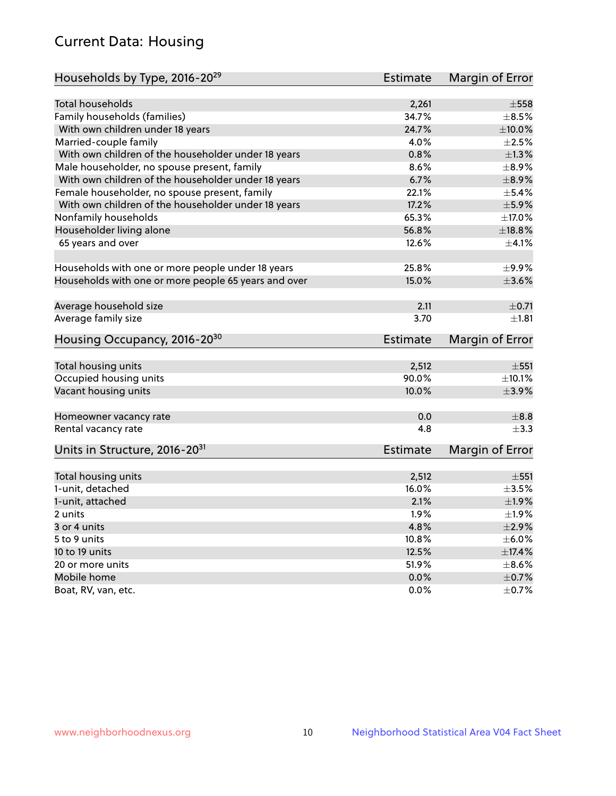## Current Data: Housing

| Households by Type, 2016-20 <sup>29</sup>            | <b>Estimate</b> | Margin of Error |
|------------------------------------------------------|-----------------|-----------------|
|                                                      |                 |                 |
| Total households                                     | 2,261           | $\pm$ 558       |
| Family households (families)                         | 34.7%           | $\pm$ 8.5%      |
| With own children under 18 years                     | 24.7%           | $\pm$ 10.0%     |
| Married-couple family                                | 4.0%            | $\pm 2.5\%$     |
| With own children of the householder under 18 years  | 0.8%            | $\pm 1.3\%$     |
| Male householder, no spouse present, family          | 8.6%            | $\pm$ 8.9%      |
| With own children of the householder under 18 years  | 6.7%            | $\pm$ 8.9%      |
| Female householder, no spouse present, family        | 22.1%           | $\pm$ 5.4%      |
| With own children of the householder under 18 years  | 17.2%           | $\pm$ 5.9%      |
| Nonfamily households                                 | 65.3%           | $\pm$ 17.0%     |
| Householder living alone                             | 56.8%           | ±18.8%          |
| 65 years and over                                    | 12.6%           | $\pm$ 4.1%      |
| Households with one or more people under 18 years    | 25.8%           | $\pm$ 9.9%      |
| Households with one or more people 65 years and over | 15.0%           | $\pm 3.6\%$     |
|                                                      |                 |                 |
| Average household size                               | 2.11            | $\pm$ 0.71      |
| Average family size                                  | 3.70            | ±1.81           |
| Housing Occupancy, 2016-20 <sup>30</sup>             | <b>Estimate</b> | Margin of Error |
| Total housing units                                  | 2,512           | $\pm$ 551       |
| Occupied housing units                               | 90.0%           | $\pm$ 10.1%     |
| Vacant housing units                                 | 10.0%           | $\pm$ 3.9%      |
|                                                      |                 |                 |
| Homeowner vacancy rate                               | 0.0             | $\pm$ 8.8       |
| Rental vacancy rate                                  | 4.8             | $\pm$ 3.3       |
| Units in Structure, 2016-20 <sup>31</sup>            | Estimate        | Margin of Error |
|                                                      |                 | $\pm$ 551       |
| Total housing units                                  | 2,512           | $\pm 3.5\%$     |
| 1-unit, detached                                     | 16.0%           |                 |
| 1-unit, attached                                     | 2.1%            | ±1.9%           |
| 2 units                                              | 1.9%            | ±1.9%           |
| 3 or 4 units                                         | 4.8%            | $\pm 2.9\%$     |
| 5 to 9 units                                         | 10.8%           | $\pm$ 6.0%      |
| 10 to 19 units                                       | 12.5%           | $\pm$ 17.4%     |
| 20 or more units                                     | 51.9%           | $\pm$ 8.6%      |
| Mobile home                                          | 0.0%            | $\pm$ 0.7%      |
| Boat, RV, van, etc.                                  | $0.0\%$         | $\pm$ 0.7%      |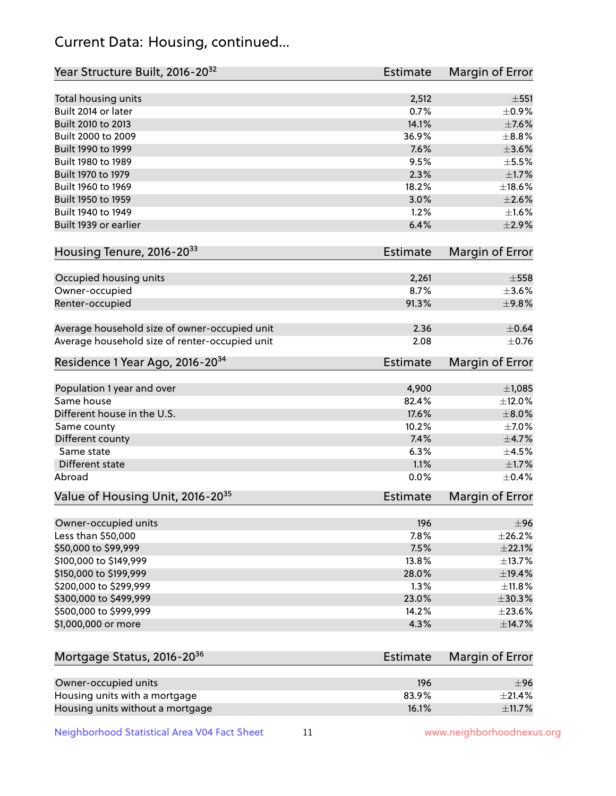## Current Data: Housing, continued...

| Year Structure Built, 2016-20 <sup>32</sup>    | Estimate        | Margin of Error |
|------------------------------------------------|-----------------|-----------------|
| Total housing units                            | 2,512           | $\pm$ 551       |
| Built 2014 or later                            | 0.7%            | $\pm$ 0.9%      |
| Built 2010 to 2013                             | 14.1%           | $\pm$ 7.6%      |
| Built 2000 to 2009                             | 36.9%           | $\pm$ 8.8%      |
| Built 1990 to 1999                             | 7.6%            | $\pm 3.6\%$     |
| Built 1980 to 1989                             | 9.5%            | $\pm$ 5.5%      |
| Built 1970 to 1979                             | 2.3%            | $\pm1.7\%$      |
| Built 1960 to 1969                             | 18.2%           | $\pm$ 18.6%     |
| Built 1950 to 1959                             | 3.0%            | $\pm 2.6\%$     |
| Built 1940 to 1949                             | 1.2%            | $\pm1.6\%$      |
| Built 1939 or earlier                          | 6.4%            | $\pm 2.9\%$     |
| Housing Tenure, 2016-2033                      | <b>Estimate</b> | Margin of Error |
| Occupied housing units                         | 2,261           | $\pm 558$       |
| Owner-occupied                                 | 8.7%            | $\pm 3.6\%$     |
| Renter-occupied                                | 91.3%           | ±9.8%           |
| Average household size of owner-occupied unit  | 2.36            | $\pm$ 0.64      |
| Average household size of renter-occupied unit | 2.08            | $\pm$ 0.76      |
| Residence 1 Year Ago, 2016-20 <sup>34</sup>    | <b>Estimate</b> | Margin of Error |
| Population 1 year and over                     | 4,900           | ±1,085          |
| Same house                                     | 82.4%           | ±12.0%          |
| Different house in the U.S.                    | 17.6%           | $\pm 8.0\%$     |
| Same county                                    | 10.2%           | $\pm$ 7.0%      |
| Different county                               | 7.4%            | $\pm$ 4.7%      |
| Same state                                     | 6.3%            | $\pm 4.5\%$     |
| Different state                                | 1.1%            | $\pm1.7\%$      |
| Abroad                                         | 0.0%            | $\pm$ 0.4%      |
| Value of Housing Unit, 2016-20 <sup>35</sup>   | <b>Estimate</b> | Margin of Error |
| Owner-occupied units                           | 196             | ±96             |
| Less than \$50,000                             | 7.8%            | ±26.2%          |
| \$50,000 to \$99,999                           | 7.5%            | $\pm 22.1\%$    |
| \$100,000 to \$149,999                         | 13.8%           | ±13.7%          |
| \$150,000 to \$199,999                         | 28.0%           | $\pm$ 19.4%     |
| \$200,000 to \$299,999                         | 1.3%            | ±11.8%          |
| \$300,000 to \$499,999                         | 23.0%           | $\pm 30.3\%$    |
| \$500,000 to \$999,999                         | 14.2%           | $\pm 23.6\%$    |
| \$1,000,000 or more                            | 4.3%            | ±14.7%          |
| Mortgage Status, 2016-20 <sup>36</sup>         | <b>Estimate</b> | Margin of Error |
| Owner-occupied units                           | 196             | $\pm$ 96        |
| Housing units with a mortgage                  | 83.9%           | ±21.4%          |

Neighborhood Statistical Area V04 Fact Sheet 11 11 www.neighborhoodnexus.org

Housing units without a mortgage  $\pm 11.7\%$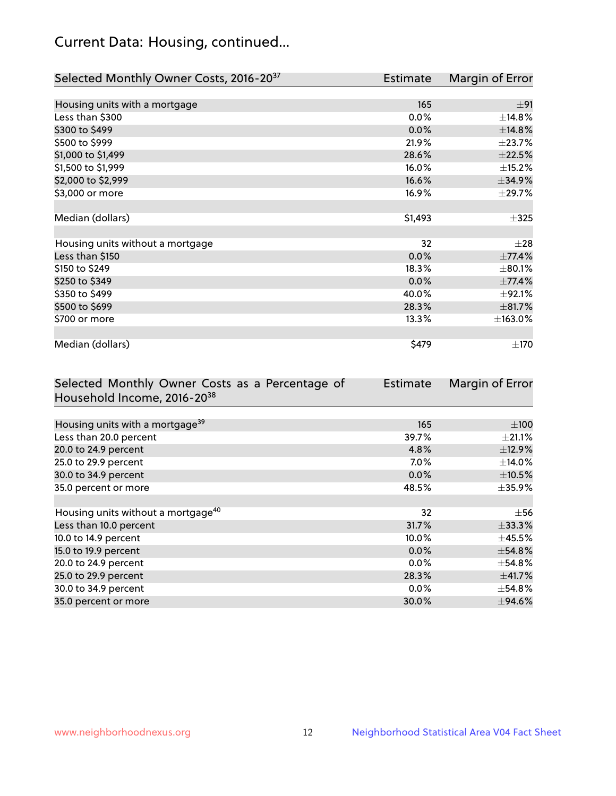## Current Data: Housing, continued...

| Selected Monthly Owner Costs, 2016-20 <sup>37</sup> | Estimate | Margin of Error |
|-----------------------------------------------------|----------|-----------------|
|                                                     |          |                 |
| Housing units with a mortgage                       | 165      | ±91             |
| Less than \$300                                     | 0.0%     | ±14.8%          |
| \$300 to \$499                                      | 0.0%     | ±14.8%          |
| \$500 to \$999                                      | 21.9%    | ±23.7%          |
| \$1,000 to \$1,499                                  | 28.6%    | ±22.5%          |
| \$1,500 to \$1,999                                  | 16.0%    | $\pm$ 15.2%     |
| \$2,000 to \$2,999                                  | 16.6%    | ±34.9%          |
| \$3,000 or more                                     | 16.9%    | ±29.7%          |
|                                                     |          |                 |
| Median (dollars)                                    | \$1,493  | $\pm$ 325       |
|                                                     |          |                 |
| Housing units without a mortgage                    | 32       | $\pm 28$        |
| Less than \$150                                     | 0.0%     | $\pm 77.4%$     |
| \$150 to \$249                                      | 18.3%    | $\pm$ 80.1%     |
| \$250 to \$349                                      | 0.0%     | $\pm 77.4\%$    |
| \$350 to \$499                                      | 40.0%    | ±92.1%          |
| \$500 to \$699                                      | 28.3%    | $\pm$ 81.7%     |
| \$700 or more                                       | 13.3%    | ±163.0%         |
|                                                     |          |                 |
| Median (dollars)                                    | \$479    | $\pm$ 170       |

| Selected Monthly Owner Costs as a Percentage of | Estimate | Margin of Error |
|-------------------------------------------------|----------|-----------------|
| Household Income, 2016-20 <sup>38</sup>         |          |                 |
|                                                 |          |                 |
| Housing units with a mortgage <sup>39</sup>     | 165      | $\pm 100$       |
| Less than 20.0 percent                          | 39.7%    | $\pm 21.1\%$    |
| 20.0 to 24.9 percent                            | 4.8%     | $\pm$ 12.9%     |
| 25.0 to 29.9 percent                            | $7.0\%$  | $\pm$ 14.0%     |
| 30.0 to 34.9 percent                            | 0.0%     | $\pm$ 10.5%     |
| 35.0 percent or more                            | 48.5%    | $\pm$ 35.9%     |
|                                                 |          |                 |
| Housing units without a mortgage <sup>40</sup>  | 32       | $\pm$ 56        |
| Less than 10.0 percent                          | 31.7%    | $\pm$ 33.3%     |
| 10.0 to 14.9 percent                            | 10.0%    | $\pm$ 45.5%     |
| 15.0 to 19.9 percent                            | $0.0\%$  | $\pm$ 54.8%     |
| 20.0 to 24.9 percent                            | $0.0\%$  | $\pm$ 54.8%     |
| 25.0 to 29.9 percent                            | 28.3%    | $\pm$ 41.7%     |
| 30.0 to 34.9 percent                            | $0.0\%$  | $\pm$ 54.8%     |
| 35.0 percent or more                            | 30.0%    | $\pm$ 94.6%     |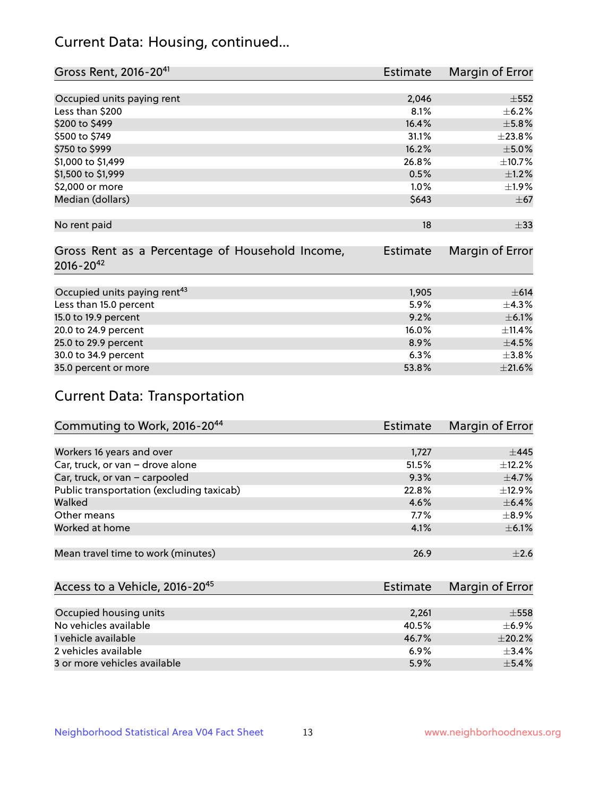## Current Data: Housing, continued...

| Gross Rent, 2016-20 <sup>41</sup>                                   | <b>Estimate</b> | Margin of Error |
|---------------------------------------------------------------------|-----------------|-----------------|
|                                                                     |                 |                 |
| Occupied units paying rent                                          | 2,046           | $+552$          |
| Less than \$200                                                     | 8.1%            | $\pm$ 6.2%      |
| \$200 to \$499                                                      | 16.4%           | $\pm$ 5.8%      |
| \$500 to \$749                                                      | 31.1%           | ±23.8%          |
| \$750 to \$999                                                      | 16.2%           | $\pm$ 5.0%      |
| \$1,000 to \$1,499                                                  | 26.8%           | ±10.7%          |
| \$1,500 to \$1,999                                                  | 0.5%            | $\pm$ 1.2%      |
| \$2,000 or more                                                     | 1.0%            | ±1.9%           |
| Median (dollars)                                                    | \$643           | $\pm$ 67        |
|                                                                     |                 |                 |
| No rent paid                                                        | 18              | $\pm$ 33        |
| Gross Rent as a Percentage of Household Income,<br>$2016 - 20^{42}$ | <b>Estimate</b> | Margin of Error |
| Occupied units paying rent <sup>43</sup>                            | 1,905           | $\pm$ 614       |
|                                                                     |                 |                 |
| Less than 15.0 percent                                              | 5.9%            | ±4.3%           |
| 15.0 to 19.9 percent                                                | 9.2%            | $\pm$ 6.1%      |
| 20.0 to 24.9 percent                                                | 16.0%           | ±11.4%          |
| 25.0 to 29.9 percent                                                | 8.9%            | $\pm 4.5\%$     |
| 30.0 to 34.9 percent                                                | 6.3%            | $\pm$ 3.8%      |
| 35.0 percent or more                                                | 53.8%           | $\pm 21.6\%$    |

## Current Data: Transportation

| Commuting to Work, 2016-20 <sup>44</sup>  | <b>Estimate</b> | Margin of Error |
|-------------------------------------------|-----------------|-----------------|
|                                           |                 |                 |
| Workers 16 years and over                 | 1,727           | $\pm$ 445       |
| Car, truck, or van - drove alone          | 51.5%           | $\pm$ 12.2%     |
| Car, truck, or van - carpooled            | 9.3%            | $\pm$ 4.7%      |
| Public transportation (excluding taxicab) | 22.8%           | $\pm$ 12.9%     |
| Walked                                    | 4.6%            | $\pm$ 6.4%      |
| Other means                               | 7.7%            | $\pm$ 8.9%      |
| Worked at home                            | 4.1%            | $\pm$ 6.1%      |
|                                           |                 |                 |
| Mean travel time to work (minutes)        | 26.9            | $\pm 2.6$       |

| Access to a Vehicle, 2016-20 <sup>45</sup> | Estimate | <b>Margin of Error</b> |
|--------------------------------------------|----------|------------------------|
|                                            |          |                        |
| Occupied housing units                     | 2.261    | $\pm$ 558              |
| No vehicles available                      | 40.5%    | $+6.9%$                |
| 1 vehicle available                        | 46.7%    | $\pm 20.2\%$           |
| 2 vehicles available                       | 6.9%     | $+3.4%$                |
| 3 or more vehicles available               | 5.9%     | $+5.4%$                |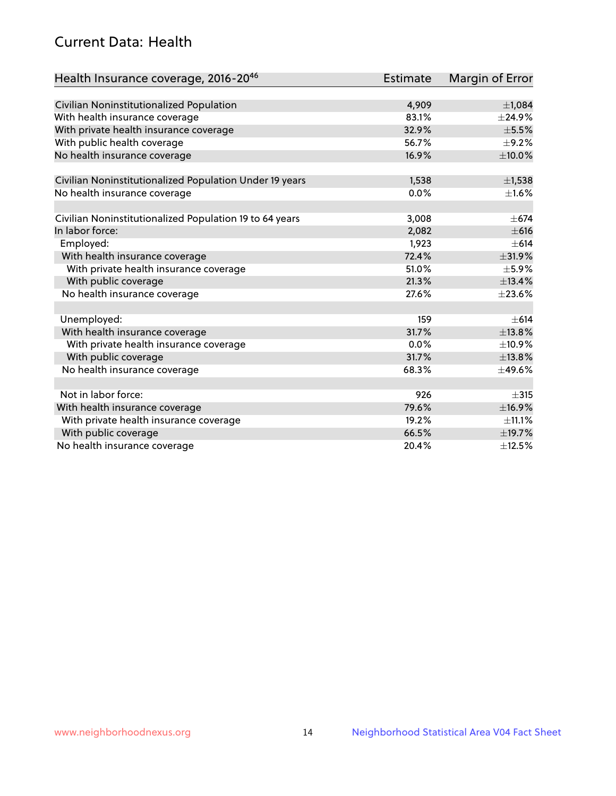## Current Data: Health

| Health Insurance coverage, 2016-2046                    | <b>Estimate</b> | Margin of Error |
|---------------------------------------------------------|-----------------|-----------------|
|                                                         |                 |                 |
| Civilian Noninstitutionalized Population                | 4,909           | ±1,084          |
| With health insurance coverage                          | 83.1%           | ±24.9%          |
| With private health insurance coverage                  | 32.9%           | $\pm$ 5.5%      |
| With public health coverage                             | 56.7%           | $\pm$ 9.2%      |
| No health insurance coverage                            | 16.9%           | $\pm 10.0\%$    |
| Civilian Noninstitutionalized Population Under 19 years | 1,538           | $\pm$ 1,538     |
|                                                         | 0.0%            | $\pm1.6\%$      |
| No health insurance coverage                            |                 |                 |
| Civilian Noninstitutionalized Population 19 to 64 years | 3,008           | $\pm$ 674       |
| In labor force:                                         | 2,082           | $\pm 616$       |
| Employed:                                               | 1,923           | $\pm 614$       |
| With health insurance coverage                          | 72.4%           | ±31.9%          |
| With private health insurance coverage                  | 51.0%           | ±5.9%           |
| With public coverage                                    | 21.3%           | ±13.4%          |
| No health insurance coverage                            | 27.6%           | $\pm 23.6\%$    |
|                                                         |                 |                 |
| Unemployed:                                             | 159             | $\pm 614$       |
| With health insurance coverage                          | 31.7%           | ±13.8%          |
| With private health insurance coverage                  | 0.0%            | ±10.9%          |
| With public coverage                                    | 31.7%           | ±13.8%          |
| No health insurance coverage                            | 68.3%           | ±49.6%          |
|                                                         |                 |                 |
| Not in labor force:                                     | 926             | $\pm$ 315       |
| With health insurance coverage                          | 79.6%           | ±16.9%          |
| With private health insurance coverage                  | 19.2%           | $\pm$ 11.1%     |
| With public coverage                                    | 66.5%           | ±19.7%          |
| No health insurance coverage                            | 20.4%           | ±12.5%          |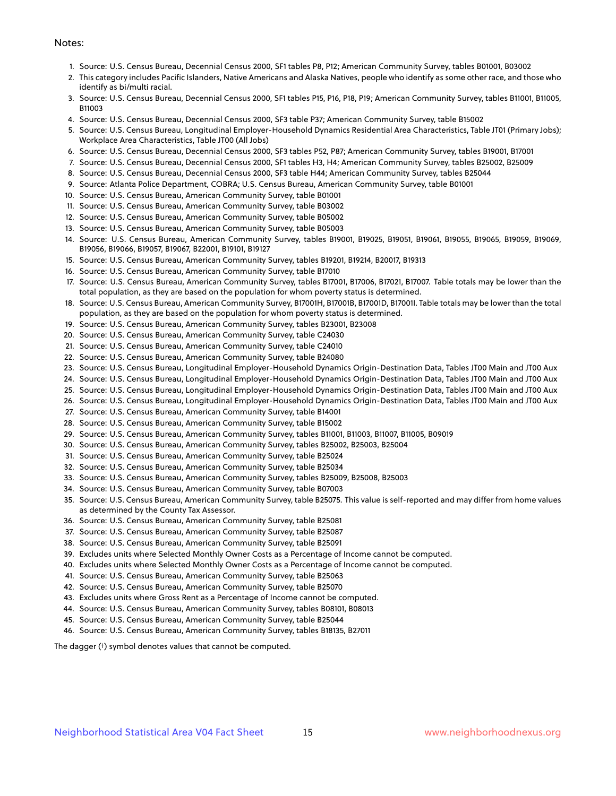#### Notes:

- 1. Source: U.S. Census Bureau, Decennial Census 2000, SF1 tables P8, P12; American Community Survey, tables B01001, B03002
- 2. This category includes Pacific Islanders, Native Americans and Alaska Natives, people who identify as some other race, and those who identify as bi/multi racial.
- 3. Source: U.S. Census Bureau, Decennial Census 2000, SF1 tables P15, P16, P18, P19; American Community Survey, tables B11001, B11005, B11003
- 4. Source: U.S. Census Bureau, Decennial Census 2000, SF3 table P37; American Community Survey, table B15002
- 5. Source: U.S. Census Bureau, Longitudinal Employer-Household Dynamics Residential Area Characteristics, Table JT01 (Primary Jobs); Workplace Area Characteristics, Table JT00 (All Jobs)
- 6. Source: U.S. Census Bureau, Decennial Census 2000, SF3 tables P52, P87; American Community Survey, tables B19001, B17001
- 7. Source: U.S. Census Bureau, Decennial Census 2000, SF1 tables H3, H4; American Community Survey, tables B25002, B25009
- 8. Source: U.S. Census Bureau, Decennial Census 2000, SF3 table H44; American Community Survey, tables B25044
- 9. Source: Atlanta Police Department, COBRA; U.S. Census Bureau, American Community Survey, table B01001
- 10. Source: U.S. Census Bureau, American Community Survey, table B01001
- 11. Source: U.S. Census Bureau, American Community Survey, table B03002
- 12. Source: U.S. Census Bureau, American Community Survey, table B05002
- 13. Source: U.S. Census Bureau, American Community Survey, table B05003
- 14. Source: U.S. Census Bureau, American Community Survey, tables B19001, B19025, B19051, B19061, B19055, B19065, B19059, B19069, B19056, B19066, B19057, B19067, B22001, B19101, B19127
- 15. Source: U.S. Census Bureau, American Community Survey, tables B19201, B19214, B20017, B19313
- 16. Source: U.S. Census Bureau, American Community Survey, table B17010
- 17. Source: U.S. Census Bureau, American Community Survey, tables B17001, B17006, B17021, B17007. Table totals may be lower than the total population, as they are based on the population for whom poverty status is determined.
- 18. Source: U.S. Census Bureau, American Community Survey, B17001H, B17001B, B17001D, B17001I. Table totals may be lower than the total population, as they are based on the population for whom poverty status is determined.
- 19. Source: U.S. Census Bureau, American Community Survey, tables B23001, B23008
- 20. Source: U.S. Census Bureau, American Community Survey, table C24030
- 21. Source: U.S. Census Bureau, American Community Survey, table C24010
- 22. Source: U.S. Census Bureau, American Community Survey, table B24080
- 23. Source: U.S. Census Bureau, Longitudinal Employer-Household Dynamics Origin-Destination Data, Tables JT00 Main and JT00 Aux
- 24. Source: U.S. Census Bureau, Longitudinal Employer-Household Dynamics Origin-Destination Data, Tables JT00 Main and JT00 Aux
- 25. Source: U.S. Census Bureau, Longitudinal Employer-Household Dynamics Origin-Destination Data, Tables JT00 Main and JT00 Aux
- 26. Source: U.S. Census Bureau, Longitudinal Employer-Household Dynamics Origin-Destination Data, Tables JT00 Main and JT00 Aux
- 27. Source: U.S. Census Bureau, American Community Survey, table B14001
- 28. Source: U.S. Census Bureau, American Community Survey, table B15002
- 29. Source: U.S. Census Bureau, American Community Survey, tables B11001, B11003, B11007, B11005, B09019
- 30. Source: U.S. Census Bureau, American Community Survey, tables B25002, B25003, B25004
- 31. Source: U.S. Census Bureau, American Community Survey, table B25024
- 32. Source: U.S. Census Bureau, American Community Survey, table B25034
- 33. Source: U.S. Census Bureau, American Community Survey, tables B25009, B25008, B25003
- 34. Source: U.S. Census Bureau, American Community Survey, table B07003
- 35. Source: U.S. Census Bureau, American Community Survey, table B25075. This value is self-reported and may differ from home values as determined by the County Tax Assessor.
- 36. Source: U.S. Census Bureau, American Community Survey, table B25081
- 37. Source: U.S. Census Bureau, American Community Survey, table B25087
- 38. Source: U.S. Census Bureau, American Community Survey, table B25091
- 39. Excludes units where Selected Monthly Owner Costs as a Percentage of Income cannot be computed.
- 40. Excludes units where Selected Monthly Owner Costs as a Percentage of Income cannot be computed.
- 41. Source: U.S. Census Bureau, American Community Survey, table B25063
- 42. Source: U.S. Census Bureau, American Community Survey, table B25070
- 43. Excludes units where Gross Rent as a Percentage of Income cannot be computed.
- 44. Source: U.S. Census Bureau, American Community Survey, tables B08101, B08013
- 45. Source: U.S. Census Bureau, American Community Survey, table B25044
- 46. Source: U.S. Census Bureau, American Community Survey, tables B18135, B27011

The dagger (†) symbol denotes values that cannot be computed.